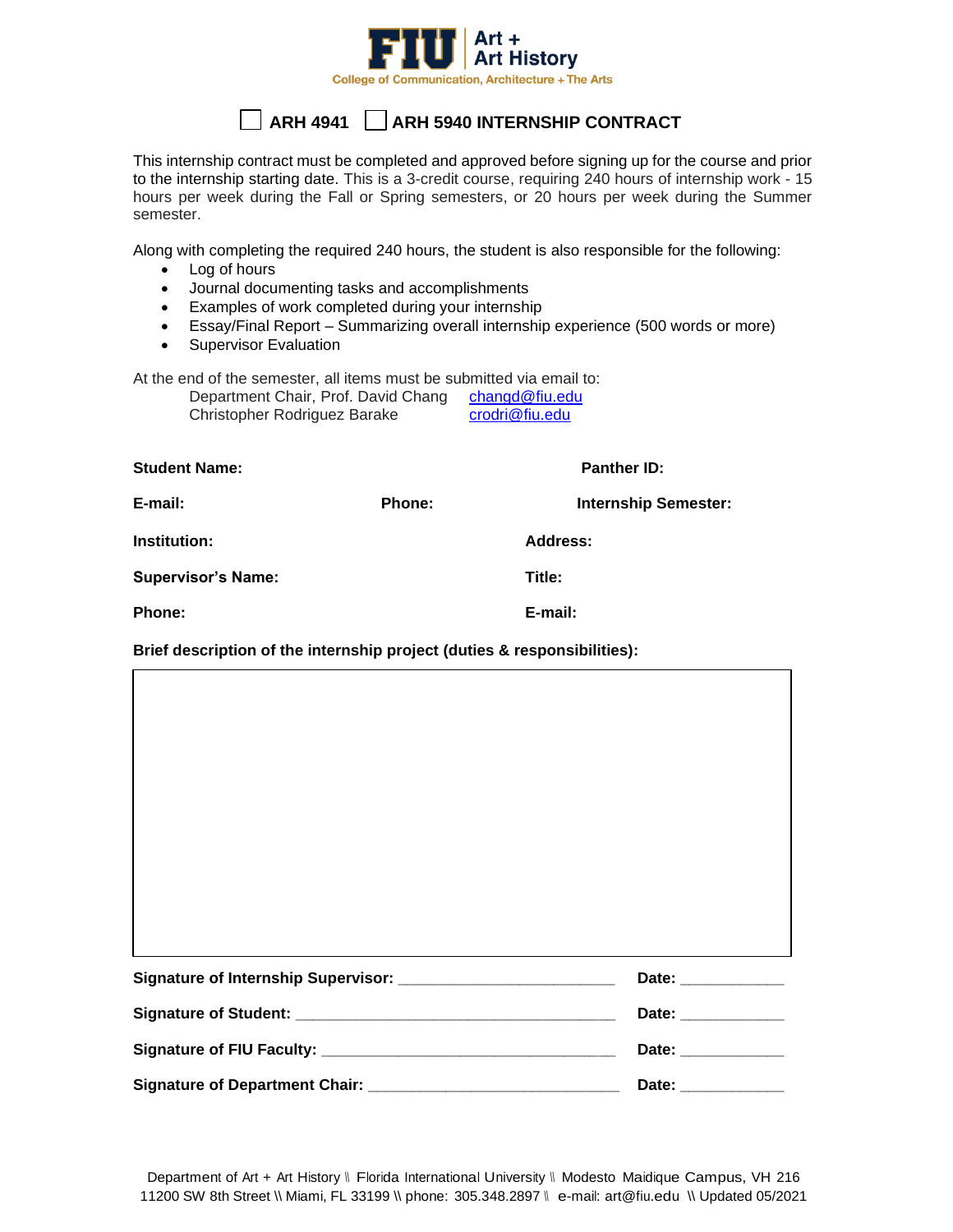

## **ARH 4941 ARH 5940 INTERNSHIP CONTRACT**

This internship contract must be completed and approved before signing up for the course and prior to the internship starting date. This is a 3-credit course, requiring 240 hours of internship work - 15 hours per week during the Fall or Spring semesters, or 20 hours per week during the Summer semester.

Along with completing the required 240 hours, the student is also responsible for the following:

- Log of hours
- Journal documenting tasks and accomplishments
- Examples of work completed during your internship
- Essay/Final Report Summarizing overall internship experience (500 words or more)
- Supervisor Evaluation

At the end of the semester, all items must be submitted via email to:

| Department Chair, Prof. David Chang | changd@fiu.edu |
|-------------------------------------|----------------|
| Christopher Rodriguez Barake        | crodri@fiu.edu |

**Student Name: Panther ID:**

|                           | .      |                             |
|---------------------------|--------|-----------------------------|
| E-mail:                   | Phone: | <b>Internship Semester:</b> |
| Institution:              |        | Address:                    |
| <b>Supervisor's Name:</b> |        | Title:                      |
| <b>Phone:</b>             |        | E-mail:                     |

**Brief description of the internship project (duties & responsibilities):**

|                                | Date: _____________ |
|--------------------------------|---------------------|
|                                | Date: _____________ |
|                                | Date: _____________ |
| Signature of Department Chair: | Date: _____________ |

Department of Art + Art History \\ Florida International University \\ Modesto Maidique Campus, VH 216 11200 SW 8th Street \\ Miami, FL 33199 \\ phone: 305.348.2897 \\ e-mail: [art@fiu.edu](mailto:art@fiu.edu) \\ Updated 05/2021